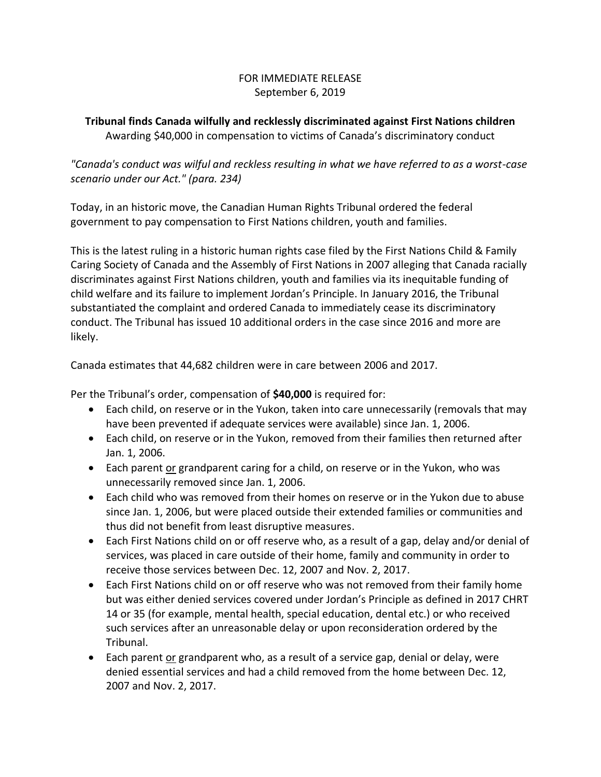## FOR IMMEDIATE RELEASE September 6, 2019

## **Tribunal finds Canada wilfully and recklessly discriminated against First Nations children** Awarding \$40,000 in compensation to victims of Canada's discriminatory conduct

*"Canada's conduct was wilful and reckless resulting in what we have referred to as a worst-case scenario under our Act." (para. 234)*

Today, in an historic move, the Canadian Human Rights Tribunal ordered the federal government to pay compensation to First Nations children, youth and families.

This is the latest ruling in a historic human rights case filed by the First Nations Child & Family Caring Society of Canada and the Assembly of First Nations in 2007 alleging that Canada racially discriminates against First Nations children, youth and families via its inequitable funding of child welfare and its failure to implement Jordan's Principle. In January 2016, the Tribunal substantiated the complaint and ordered Canada to immediately cease its discriminatory conduct. The Tribunal has issued 10 additional orders in the case since 2016 and more are likely.

Canada estimates that 44,682 children were in care between 2006 and 2017.

Per the Tribunal's order, compensation of **\$40,000** is required for:

- Each child, on reserve or in the Yukon, taken into care unnecessarily (removals that may have been prevented if adequate services were available) since Jan. 1, 2006.
- Each child, on reserve or in the Yukon, removed from their families then returned after Jan. 1, 2006.
- Each parent or grandparent caring for a child, on reserve or in the Yukon, who was unnecessarily removed since Jan. 1, 2006.
- Each child who was removed from their homes on reserve or in the Yukon due to abuse since Jan. 1, 2006, but were placed outside their extended families or communities and thus did not benefit from least disruptive measures.
- Each First Nations child on or off reserve who, as a result of a gap, delay and/or denial of services, was placed in care outside of their home, family and community in order to receive those services between Dec. 12, 2007 and Nov. 2, 2017.
- Each First Nations child on or off reserve who was not removed from their family home but was either denied services covered under Jordan's Principle as defined in 2017 CHRT 14 or 35 (for example, mental health, special education, dental etc.) or who received such services after an unreasonable delay or upon reconsideration ordered by the Tribunal.
- Each parent or grandparent who, as a result of a service gap, denial or delay, were denied essential services and had a child removed from the home between Dec. 12, 2007 and Nov. 2, 2017.